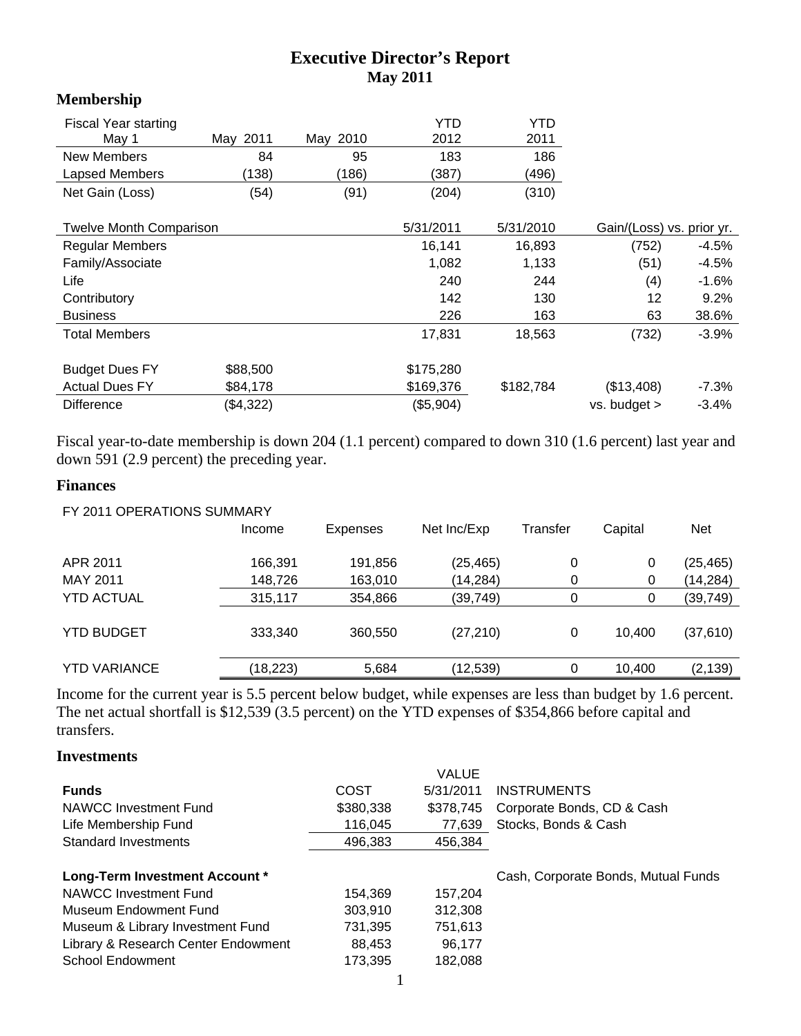# **Executive Director's Report May 2011**

#### **Membership**

| <b>Fiscal Year starting</b>    |           |          | <b>YTD</b> | <b>YTD</b> |                           |         |
|--------------------------------|-----------|----------|------------|------------|---------------------------|---------|
| May 1                          | May 2011  | May 2010 | 2012       | 2011       |                           |         |
| <b>New Members</b>             | 84        | 95       | 183        | 186        |                           |         |
| Lapsed Members                 | (138)     | (186)    | (387)      | (496)      |                           |         |
| Net Gain (Loss)                | (54)      | (91)     | (204)      | (310)      |                           |         |
| <b>Twelve Month Comparison</b> |           |          | 5/31/2011  | 5/31/2010  | Gain/(Loss) vs. prior yr. |         |
| <b>Regular Members</b>         |           |          | 16.141     | 16,893     | (752)                     | $-4.5%$ |
| Family/Associate               |           |          | 1,082      | 1,133      | (51)                      | $-4.5%$ |
| Life                           |           |          | 240        | 244        | (4)                       | $-1.6%$ |
| Contributory                   |           |          | 142        | 130        | 12                        | 9.2%    |
| <b>Business</b>                |           |          | 226        | 163        | 63                        | 38.6%   |
| <b>Total Members</b>           |           |          | 17,831     | 18,563     | (732)                     | -3.9%   |
| <b>Budget Dues FY</b>          | \$88,500  |          | \$175,280  |            |                           |         |
| <b>Actual Dues FY</b>          | \$84,178  |          | \$169,376  | \$182,784  | (\$13,408)                | $-7.3%$ |
| <b>Difference</b>              | (\$4,322) |          | (\$5,904)  |            | vs. budget >              | $-3.4%$ |

Fiscal year-to-date membership is down 204 (1.1 percent) compared to down 310 (1.6 percent) last year and down 591 (2.9 percent) the preceding year.

## **Finances**

| FY 2011 OPERATIONS SUMMARY |                 |             |          |         |            |
|----------------------------|-----------------|-------------|----------|---------|------------|
| Income                     | <b>Expenses</b> | Net Inc/Exp | Transfer | Capital | <b>Net</b> |
| 166,391                    | 191,856         | (25, 465)   | 0        | 0       | (25, 465)  |
| 148,726                    | 163,010         | (14,284)    | 0        | 0       | (14, 284)  |
| 315,117                    | 354,866         | (39,749)    | 0        | 0       | (39, 749)  |
| 333,340                    | 360,550         | (27, 210)   | 0        | 10.400  | (37, 610)  |
| (18, 223)                  | 5,684           | (12,539)    | 0        | 10,400  | (2, 139)   |
|                            |                 |             |          |         |            |

Income for the current year is 5.5 percent below budget, while expenses are less than budget by 1.6 percent. The net actual shortfall is \$12,539 (3.5 percent) on the YTD expenses of \$354,866 before capital and transfers.

### **Investments**

|                                     |           | <b>VALUE</b> |                                     |
|-------------------------------------|-----------|--------------|-------------------------------------|
| <b>Funds</b>                        | COST      | 5/31/2011    | <b>INSTRUMENTS</b>                  |
| NAWCC Investment Fund               | \$380,338 | \$378,745    | Corporate Bonds, CD & Cash          |
| Life Membership Fund                | 116,045   | 77,639       | Stocks, Bonds & Cash                |
| Standard Investments                | 496,383   | 456,384      |                                     |
|                                     |           |              |                                     |
| Long-Term Investment Account *      |           |              | Cash, Corporate Bonds, Mutual Funds |
| NAWCC Investment Fund               | 154.369   | 157.204      |                                     |
| Museum Endowment Fund               | 303.910   | 312,308      |                                     |
| Museum & Library Investment Fund    | 731,395   | 751,613      |                                     |
| Library & Research Center Endowment | 88.453    | 96.177       |                                     |
| <b>School Endowment</b>             | 173,395   | 182.088      |                                     |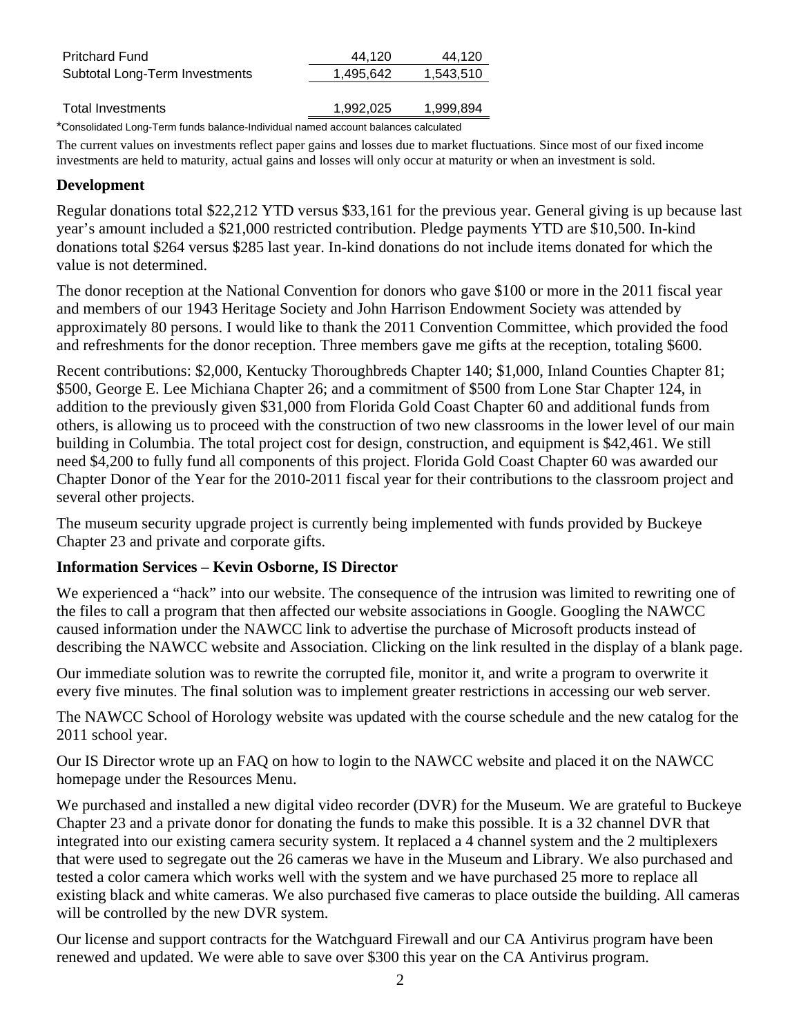| <b>Pritchard Fund</b>          | 44.120    | 44.120    |
|--------------------------------|-----------|-----------|
| Subtotal Long-Term Investments | 1.495.642 | 1,543,510 |
|                                |           |           |
| Total Investments              | 1,992,025 | 1,999,894 |
|                                |           |           |

\*Consolidated Long-Term funds balance-Individual named account balances calculated

The current values on investments reflect paper gains and losses due to market fluctuations. Since most of our fixed income investments are held to maturity, actual gains and losses will only occur at maturity or when an investment is sold.

#### **Development**

Regular donations total \$22,212 YTD versus \$33,161 for the previous year. General giving is up because last year's amount included a \$21,000 restricted contribution. Pledge payments YTD are \$10,500. In-kind donations total \$264 versus \$285 last year. In-kind donations do not include items donated for which the value is not determined.

The donor reception at the National Convention for donors who gave \$100 or more in the 2011 fiscal year and members of our 1943 Heritage Society and John Harrison Endowment Society was attended by approximately 80 persons. I would like to thank the 2011 Convention Committee, which provided the food and refreshments for the donor reception. Three members gave me gifts at the reception, totaling \$600.

Recent contributions: \$2,000, Kentucky Thoroughbreds Chapter 140; \$1,000, Inland Counties Chapter 81; \$500, George E. Lee Michiana Chapter 26; and a commitment of \$500 from Lone Star Chapter 124, in addition to the previously given \$31,000 from Florida Gold Coast Chapter 60 and additional funds from others, is allowing us to proceed with the construction of two new classrooms in the lower level of our main building in Columbia. The total project cost for design, construction, and equipment is \$42,461. We still need \$4,200 to fully fund all components of this project. Florida Gold Coast Chapter 60 was awarded our Chapter Donor of the Year for the 2010-2011 fiscal year for their contributions to the classroom project and several other projects.

The museum security upgrade project is currently being implemented with funds provided by Buckeye Chapter 23 and private and corporate gifts.

### **Information Services – Kevin Osborne, IS Director**

We experienced a "hack" into our website. The consequence of the intrusion was limited to rewriting one of the files to call a program that then affected our website associations in Google. Googling the NAWCC caused information under the NAWCC link to advertise the purchase of Microsoft products instead of describing the NAWCC website and Association. Clicking on the link resulted in the display of a blank page.

Our immediate solution was to rewrite the corrupted file, monitor it, and write a program to overwrite it every five minutes. The final solution was to implement greater restrictions in accessing our web server.

The NAWCC School of Horology website was updated with the course schedule and the new catalog for the 2011 school year.

Our IS Director wrote up an FAQ on how to login to the NAWCC website and placed it on the NAWCC homepage under the Resources Menu.

We purchased and installed a new digital video recorder (DVR) for the Museum. We are grateful to Buckeye Chapter 23 and a private donor for donating the funds to make this possible. It is a 32 channel DVR that integrated into our existing camera security system. It replaced a 4 channel system and the 2 multiplexers that were used to segregate out the 26 cameras we have in the Museum and Library. We also purchased and tested a color camera which works well with the system and we have purchased 25 more to replace all existing black and white cameras. We also purchased five cameras to place outside the building. All cameras will be controlled by the new DVR system.

Our license and support contracts for the Watchguard Firewall and our CA Antivirus program have been renewed and updated. We were able to save over \$300 this year on the CA Antivirus program.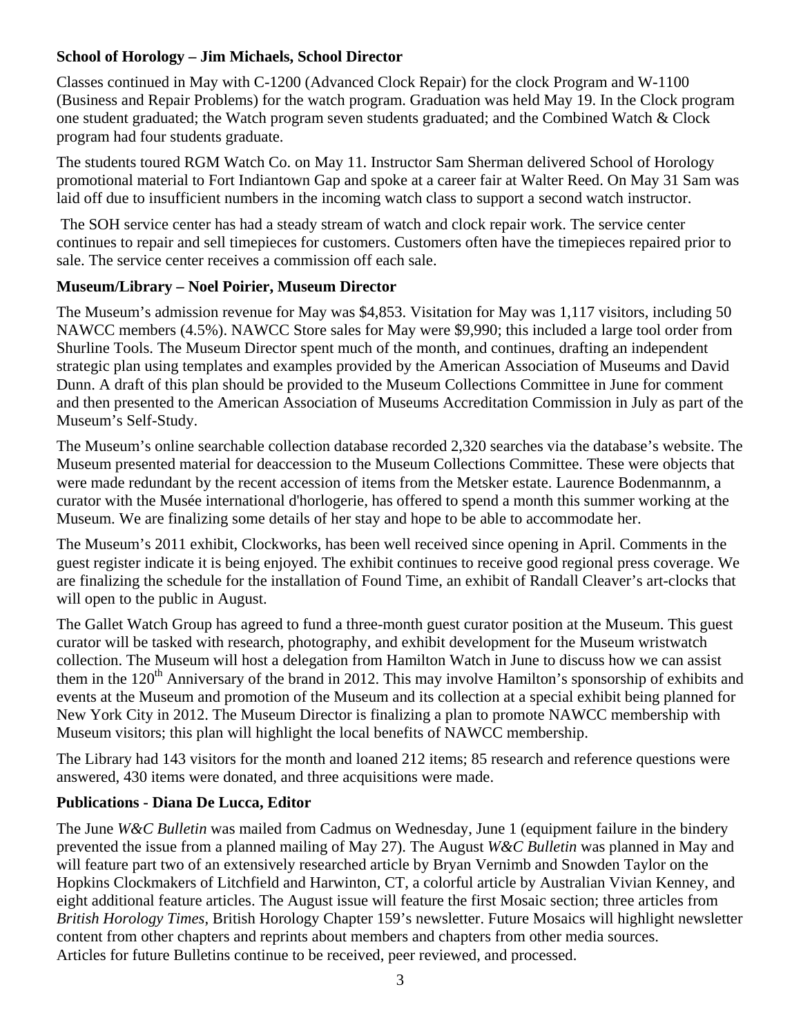## **School of Horology – Jim Michaels, School Director**

Classes continued in May with C-1200 (Advanced Clock Repair) for the clock Program and W-1100 (Business and Repair Problems) for the watch program. Graduation was held May 19. In the Clock program one student graduated; the Watch program seven students graduated; and the Combined Watch & Clock program had four students graduate.

The students toured RGM Watch Co. on May 11. Instructor Sam Sherman delivered School of Horology promotional material to Fort Indiantown Gap and spoke at a career fair at Walter Reed. On May 31 Sam was laid off due to insufficient numbers in the incoming watch class to support a second watch instructor.

 The SOH service center has had a steady stream of watch and clock repair work. The service center continues to repair and sell timepieces for customers. Customers often have the timepieces repaired prior to sale. The service center receives a commission off each sale.

### **Museum/Library – Noel Poirier, Museum Director**

The Museum's admission revenue for May was \$4,853. Visitation for May was 1,117 visitors, including 50 NAWCC members (4.5%). NAWCC Store sales for May were \$9,990; this included a large tool order from Shurline Tools. The Museum Director spent much of the month, and continues, drafting an independent strategic plan using templates and examples provided by the American Association of Museums and David Dunn. A draft of this plan should be provided to the Museum Collections Committee in June for comment and then presented to the American Association of Museums Accreditation Commission in July as part of the Museum's Self-Study.

The Museum's online searchable collection database recorded 2,320 searches via the database's website. The Museum presented material for deaccession to the Museum Collections Committee. These were objects that were made redundant by the recent accession of items from the Metsker estate. Laurence Bodenmannm, a curator with the Musée international d'horlogerie, has offered to spend a month this summer working at the Museum. We are finalizing some details of her stay and hope to be able to accommodate her.

The Museum's 2011 exhibit, Clockworks, has been well received since opening in April. Comments in the guest register indicate it is being enjoyed. The exhibit continues to receive good regional press coverage. We are finalizing the schedule for the installation of Found Time, an exhibit of Randall Cleaver's art-clocks that will open to the public in August.

The Gallet Watch Group has agreed to fund a three-month guest curator position at the Museum. This guest curator will be tasked with research, photography, and exhibit development for the Museum wristwatch collection. The Museum will host a delegation from Hamilton Watch in June to discuss how we can assist them in the  $120<sup>th</sup>$  Anniversary of the brand in 2012. This may involve Hamilton's sponsorship of exhibits and events at the Museum and promotion of the Museum and its collection at a special exhibit being planned for New York City in 2012. The Museum Director is finalizing a plan to promote NAWCC membership with Museum visitors; this plan will highlight the local benefits of NAWCC membership.

The Library had 143 visitors for the month and loaned 212 items; 85 research and reference questions were answered, 430 items were donated, and three acquisitions were made.

### **Publications - Diana De Lucca, Editor**

The June *W&C Bulletin* was mailed from Cadmus on Wednesday, June 1 (equipment failure in the bindery prevented the issue from a planned mailing of May 27). The August *W&C Bulletin* was planned in May and will feature part two of an extensively researched article by Bryan Vernimb and Snowden Taylor on the Hopkins Clockmakers of Litchfield and Harwinton, CT, a colorful article by Australian Vivian Kenney, and eight additional feature articles. The August issue will feature the first Mosaic section; three articles from *British Horology Times*, British Horology Chapter 159's newsletter. Future Mosaics will highlight newsletter content from other chapters and reprints about members and chapters from other media sources. Articles for future Bulletins continue to be received, peer reviewed, and processed.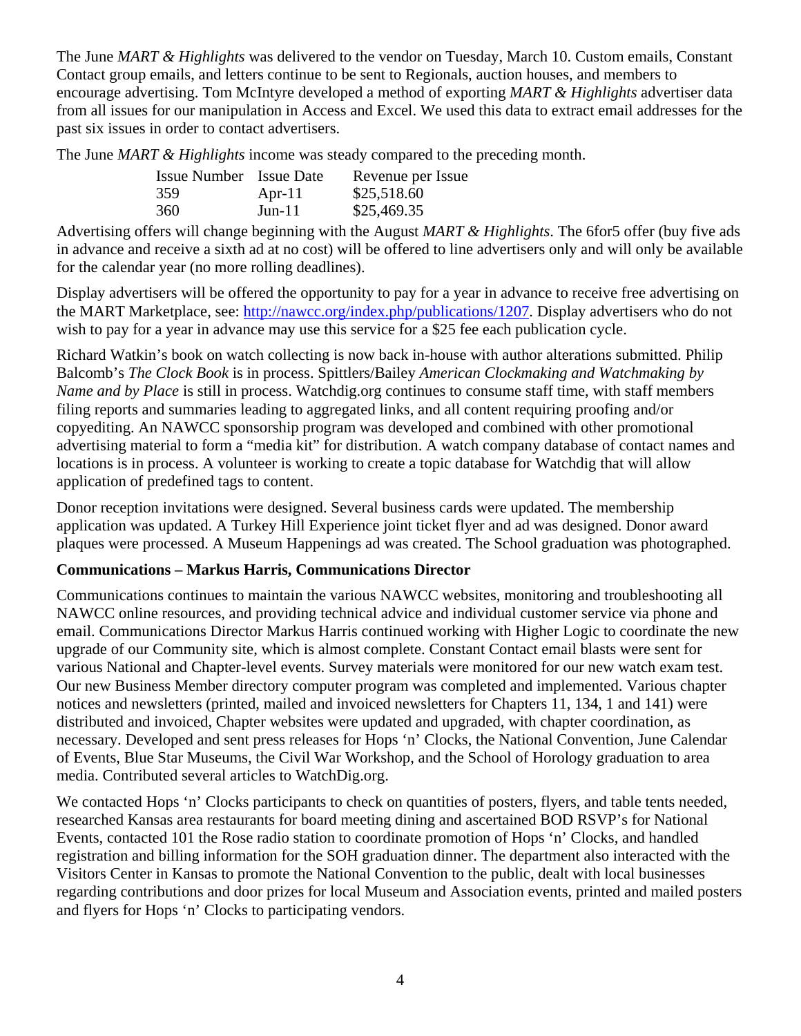The June *MART & Highlights* was delivered to the vendor on Tuesday, March 10. Custom emails, Constant Contact group emails, and letters continue to be sent to Regionals, auction houses, and members to encourage advertising. Tom McIntyre developed a method of exporting *MART & Highlights* advertiser data from all issues for our manipulation in Access and Excel. We used this data to extract email addresses for the past six issues in order to contact advertisers.

The June *MART & Highlights* income was steady compared to the preceding month.

|     | <b>Issue Number</b> Issue Date | Revenue per Issue |
|-----|--------------------------------|-------------------|
| 359 | Apr-11                         | \$25,518.60       |
| 360 | $Jun-11$                       | \$25,469.35       |

Advertising offers will change beginning with the August *MART & Highlights*. The 6for5 offer (buy five ads in advance and receive a sixth ad at no cost) will be offered to line advertisers only and will only be available for the calendar year (no more rolling deadlines).

Display advertisers will be offered the opportunity to pay for a year in advance to receive free advertising on the MART Marketplace, see: http://nawcc.org/index.php/publications/1207. Display advertisers who do not wish to pay for a year in advance may use this service for a \$25 fee each publication cycle.

Richard Watkin's book on watch collecting is now back in-house with author alterations submitted. Philip Balcomb's *The Clock Book* is in process. Spittlers/Bailey *American Clockmaking and Watchmaking by Name and by Place* is still in process. Watchdig.org continues to consume staff time, with staff members filing reports and summaries leading to aggregated links, and all content requiring proofing and/or copyediting. An NAWCC sponsorship program was developed and combined with other promotional advertising material to form a "media kit" for distribution. A watch company database of contact names and locations is in process. A volunteer is working to create a topic database for Watchdig that will allow application of predefined tags to content.

Donor reception invitations were designed. Several business cards were updated. The membership application was updated. A Turkey Hill Experience joint ticket flyer and ad was designed. Donor award plaques were processed. A Museum Happenings ad was created. The School graduation was photographed.

### **Communications – Markus Harris, Communications Director**

Communications continues to maintain the various NAWCC websites, monitoring and troubleshooting all NAWCC online resources, and providing technical advice and individual customer service via phone and email. Communications Director Markus Harris continued working with Higher Logic to coordinate the new upgrade of our Community site, which is almost complete. Constant Contact email blasts were sent for various National and Chapter-level events. Survey materials were monitored for our new watch exam test. Our new Business Member directory computer program was completed and implemented. Various chapter notices and newsletters (printed, mailed and invoiced newsletters for Chapters 11, 134, 1 and 141) were distributed and invoiced, Chapter websites were updated and upgraded, with chapter coordination, as necessary. Developed and sent press releases for Hops 'n' Clocks, the National Convention, June Calendar of Events, Blue Star Museums, the Civil War Workshop, and the School of Horology graduation to area media. Contributed several articles to WatchDig.org.

We contacted Hops 'n' Clocks participants to check on quantities of posters, flyers, and table tents needed, researched Kansas area restaurants for board meeting dining and ascertained BOD RSVP's for National Events, contacted 101 the Rose radio station to coordinate promotion of Hops 'n' Clocks, and handled registration and billing information for the SOH graduation dinner. The department also interacted with the Visitors Center in Kansas to promote the National Convention to the public, dealt with local businesses regarding contributions and door prizes for local Museum and Association events, printed and mailed posters and flyers for Hops 'n' Clocks to participating vendors.